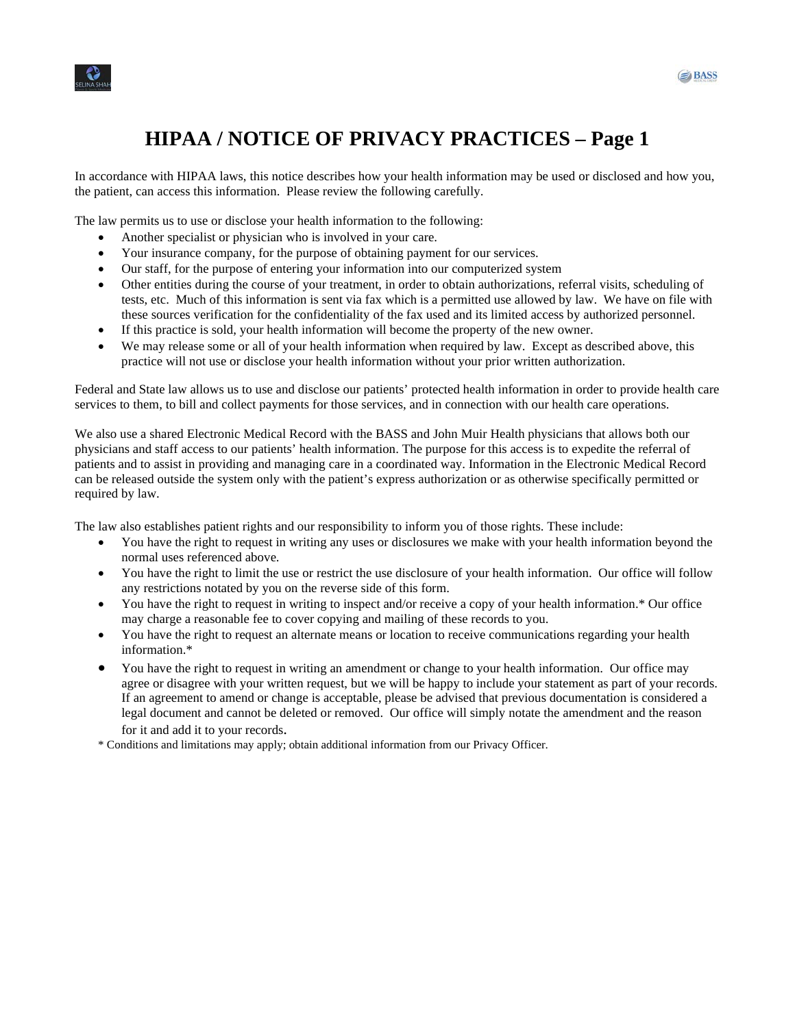

# **HIPAA / NOTICE OF PRIVACY PRACTICES – Page 1**

In accordance with HIPAA laws, this notice describes how your health information may be used or disclosed and how you, the patient, can access this information. Please review the following carefully.

The law permits us to use or disclose your health information to the following:

- Another specialist or physician who is involved in your care.
- Your insurance company, for the purpose of obtaining payment for our services.
- Our staff, for the purpose of entering your information into our computerized system
- Other entities during the course of your treatment, in order to obtain authorizations, referral visits, scheduling of tests, etc. Much of this information is sent via fax which is a permitted use allowed by law. We have on file with these sources verification for the confidentiality of the fax used and its limited access by authorized personnel.
- If this practice is sold, your health information will become the property of the new owner.
- We may release some or all of your health information when required by law. Except as described above, this practice will not use or disclose your health information without your prior written authorization.

Federal and State law allows us to use and disclose our patients' protected health information in order to provide health care services to them, to bill and collect payments for those services, and in connection with our health care operations.

We also use a shared Electronic Medical Record with the BASS and John Muir Health physicians that allows both our physicians and staff access to our patients' health information. The purpose for this access is to expedite the referral of patients and to assist in providing and managing care in a coordinated way. Information in the Electronic Medical Record can be released outside the system only with the patient's express authorization or as otherwise specifically permitted or required by law.

The law also establishes patient rights and our responsibility to inform you of those rights. These include:

- You have the right to request in writing any uses or disclosures we make with your health information beyond the normal uses referenced above.
- You have the right to limit the use or restrict the use disclosure of your health information. Our office will follow any restrictions notated by you on the reverse side of this form.
- You have the right to request in writing to inspect and/or receive a copy of your health information.\* Our office may charge a reasonable fee to cover copying and mailing of these records to you.
- You have the right to request an alternate means or location to receive communications regarding your health information.\*
- You have the right to request in writing an amendment or change to your health information. Our office may agree or disagree with your written request, but we will be happy to include your statement as part of your records. If an agreement to amend or change is acceptable, please be advised that previous documentation is considered a legal document and cannot be deleted or removed. Our office will simply notate the amendment and the reason
- for it and add it to your records. \* Conditions and limitations may apply; obtain additional information from our Privacy Officer.